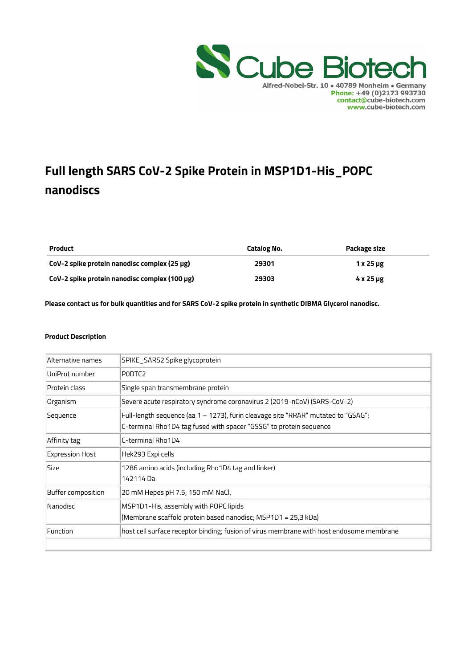

# **Full length SARS CoV-2 Spike Protein in MSP1D1-His\_POPC nanodiscs**

| <b>Product</b>                                | Catalog No. | Package size        |  |
|-----------------------------------------------|-------------|---------------------|--|
| CoV-2 spike protein nanodisc complex (25 µg)  | 29301       | $1x25 \mu g$        |  |
| CoV-2 spike protein nanodisc complex (100 µg) | 29303       | $4 \times 25 \mu$ g |  |

**Please contact us for bulk quantities and for SARS CoV-2 spike protein in synthetic DIBMA Glycerol nanodisc.** 

#### **Product Description**

| Alternative names      | SPIKE_SARS2 Spike glycoprotein                                                                                                                          |
|------------------------|---------------------------------------------------------------------------------------------------------------------------------------------------------|
| UniProt number         | PODTC <sub>2</sub>                                                                                                                                      |
| Protein class          | Single span transmembrane protein                                                                                                                       |
| Organism               | Severe acute respiratory syndrome coronavirus 2 (2019-nCoV) (SARS-CoV-2)                                                                                |
| Sequence               | Full-length sequence (aa 1 – 1273), furin cleavage site "RRAR" mutated to "GSAG";<br>C-terminal Rho1D4 tag fused with spacer "GSSG" to protein sequence |
| Affinity tag           | C-terminal Rho1D4                                                                                                                                       |
| <b>Expression Host</b> | Hek293 Expi cells                                                                                                                                       |
| Size                   | 1286 amino acids (including Rho1D4 tag and linker)<br>142114 Da                                                                                         |
| Buffer composition     | 20 mM Hepes pH 7.5; 150 mM NaCl,                                                                                                                        |
| Nanodisc               | MSP1D1-His, assembly with POPC lipids<br>(Membrane scaffold protein based nanodisc; MSP1D1 = 25,3 kDa)                                                  |
| Function               | host cell surface receptor binding; fusion of virus membrane with host endosome membrane                                                                |
|                        |                                                                                                                                                         |